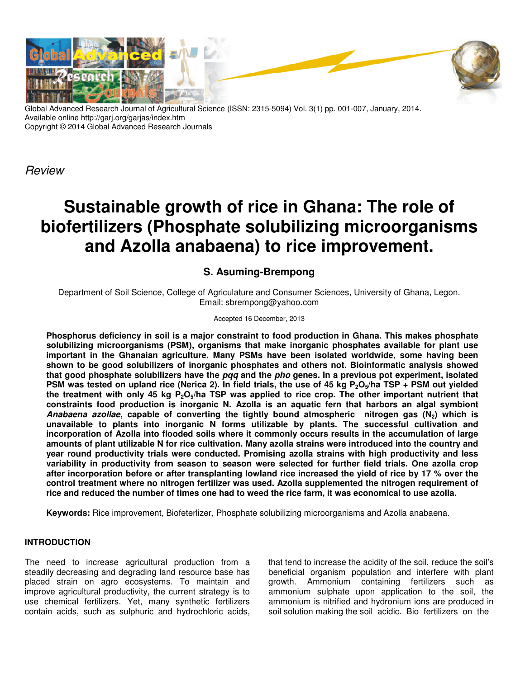

Global Advanced Research Journal of Agricultural Science (ISSN: 2315-5094) Vol. 3(1) pp. 001-007, January, 2014. Available online http://garj.org/garjas/index.htm Copyright © 2014 Global Advanced Research Journals

Review

# **Sustainable growth of rice in Ghana: The role of biofertilizers (Phosphate solubilizing microorganisms and Azolla anabaena) to rice improvement.**

# **S. Asuming-Brempong**

Department of Soil Science, College of Agriculature and Consumer Sciences, University of Ghana, Legon. Email: sbrempong@yahoo.com

### Accepted 16 December, 2013

**Phosphorus deficiency in soil is a major constraint to food production in Ghana. This makes phosphate solubilizing microorganisms (PSM), organisms that make inorganic phosphates available for plant use important in the Ghanaian agriculture. Many PSMs have been isolated worldwide, some having been shown to be good solubilizers of inorganic phosphates and others not. Bioinformatic analysis showed that good phosphate solubilizers have the pqq and the pho genes. In a previous pot experiment, isolated PSM was tested on upland rice (Nerica 2). In field trials, the use of 45 kg P2O5/ha TSP + PSM out yielded the treatment with only 45 kg P2O5/ha TSP was applied to rice crop. The other important nutrient that constraints food production is inorganic N. Azolla is an aquatic fern that harbors an algal symbiont Anabaena azollae, capable of converting the tightly bound atmospheric nitrogen gas (N2) which is unavailable to plants into inorganic N forms utilizable by plants. The successful cultivation and incorporation of Azolla into flooded soils where it commonly occurs results in the accumulation of large amounts of plant utilizable N for rice cultivation. Many azolla strains were introduced into the country and year round productivity trials were conducted. Promising azolla strains with high productivity and less variability in productivity from season to season were selected for further field trials. One azolla crop after incorporation before or after transplanting lowland rice increased the yield of rice by 17 % over the control treatment where no nitrogen fertilizer was used. Azolla supplemented the nitrogen requirement of rice and reduced the number of times one had to weed the rice farm, it was economical to use azolla.** 

**Keywords:** Rice improvement, Biofeterlizer, Phosphate solubilizing microorganisms and Azolla anabaena.

## **INTRODUCTION**

The need to increase agricultural production from a steadily decreasing and degrading land resource base has placed strain on agro ecosystems. To maintain and improve agricultural productivity, the current strategy is to use chemical fertilizers. Yet, many synthetic fertilizers contain acids, such as sulphuric and hydrochloric acids, that tend to increase the acidity of the soil, reduce the soil's beneficial organism population and interfere with plant growth. Ammonium containing fertilizers such as ammonium sulphate upon application to the soil, the ammonium is nitrified and hydronium ions are produced in soil solution making the soil acidic. Bio fertilizers on the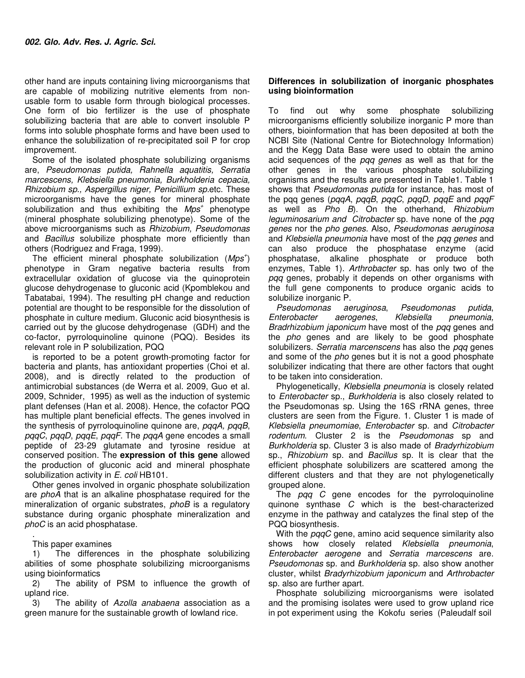other hand are inputs containing living microorganisms that are capable of mobilizing nutritive elements from nonusable form to usable form through biological processes. One form of bio fertilizer is the use of phosphate solubilizing bacteria that are able to convert insoluble P forms into soluble phosphate forms and have been used to enhance the solubilization of re-precipitated soil P for crop improvement.

Some of the isolated phosphate solubilizing organisms are, Pseudomonas putida, Rahnella aquatitis, Serratia marcescens, Klebsiella pneumonia, Burkholderia cepacia, Rhizobium sp., Aspergillus niger, Penicillium sp.etc. These microorganisms have the genes for mineral phosphate solubilization and thus exhibiting the  $Mps<sup>+</sup>$  phenotype (mineral phosphate solubilizing phenotype). Some of the above microorganisms such as Rhizobium, Pseudomonas and Bacillus solubilize phosphate more efficiently than others (Rodriguez and Fraga, 1999).

The efficient mineral phosphate solubilization  $(Mps<sup>+</sup>)$ phenotype in Gram negative bacteria results from extracellular oxidation of glucose via the quinoprotein glucose dehydrogenase to gluconic acid (Kpomblekou and Tabatabai, 1994). The resulting pH change and reduction potential are thought to be responsible for the dissolution of phosphate in culture medium. Gluconic acid biosynthesis is carried out by the glucose dehydrogenase (GDH) and the co-factor, pyrroloquinoline quinone (PQQ). Besides its relevant role in P solubilization, PQQ

is reported to be a potent growth-promoting factor for bacteria and plants, has antioxidant properties (Choi et al. 2008), and is directly related to the production of antimicrobial substances (de Werra et al. 2009, Guo et al. 2009, Schnider, 1995) as well as the induction of systemic plant defenses (Han et al. 2008). Hence, the cofactor PQQ has multiple plant beneficial effects. The genes involved in the synthesis of pyrroloquinoline quinone are, pqqA, pqqB, pqqC, pqqD, pqqE, pqqF. The pqqA gene encodes a small peptide of 23-29 glutamate and tyrosine residue at conserved position. The **expression of this gene** allowed the production of gluconic acid and mineral phosphate solubilization activity in E. coli HB101.

Other genes involved in organic phosphate solubilization are phoA that is an alkaline phosphatase required for the mineralization of organic substrates, *phoB* is a regulatory substance during organic phosphate mineralization and phoC is an acid phosphatase.

. This paper examines

1) The differences in the phosphate solubilizing abilities of some phosphate solubilizing microorganisms using bioinformatics

2) The ability of PSM to influence the growth of upland rice.

3) The ability of Azolla anabaena association as a green manure for the sustainable growth of lowland rice.

### **Differences in solubilization of inorganic phosphates using bioinformation**

To find out why some phosphate solubilizing microorganisms efficiently solubilize inorganic P more than others, bioinformation that has been deposited at both the NCBI Site (National Centre for Biotechnology Information) and the Kegg Data Base were used to obtain the amino acid sequences of the *pqq genes* as well as that for the other genes in the various phosphate solubilizing organisms and the results are presented in Table1. Table 1 shows that *Pseudomonas putida* for instance, has most of the pqq genes (pqqA, pqqB, pqqC, pqqD, pqqE and pqqF as well as Pho B). On the otherhand, Rhizobium leguminosarium and Citrobacter sp. have none of the pqq genes nor the pho genes. Also, Pseudomonas aeruginosa and Klebsiella pneumonia have most of the pqq genes and can also produce the phosphatase enzyme (acid phosphatase, alkaline phosphate or produce both enzymes, Table 1). Arthrobacter sp. has only two of the pqq genes, probably it depends on other organisms with the full gene components to produce organic acids to solubilize inorganic P.

Pseudomonas aeruginosa, Pseudomonas putida, Enterobacter aerogenes, Klebsiella pneumonia, Bradrhizobium japonicum have most of the pag genes and the *pho* genes and are likely to be good phosphate solubilizers. Serratia marcenscens has also the pqq genes and some of the *pho* genes but it is not a good phosphate solubilizer indicating that there are other factors that ought to be taken into consideration.

Phylogenetically, Klebsiella pneumonia is closely related to Enterobacter sp., Burkholderia is also closely related to the Pseudomonas sp. Using the 16S rRNA genes, three clusters are seen from the Figure. 1. Cluster 1 is made of Klebsiella pneumomiae, Enterobacter sp. and Citrobacter rodentum. Cluster 2 is the Pseudomonas sp and Burkholderia sp. Cluster 3 is also made of Bradyrhizobium sp., Rhizobium sp. and Bacillus sp. It is clear that the efficient phosphate solubilizers are scattered among the different clusters and that they are not phylogenetically grouped alone.

The pqq C gene encodes for the pyrroloquinoline quinone synthase C which is the best-characterized enzyme in the pathway and catalyzes the final step of the PQQ biosynthesis.

With the *pqqC* gene, amino acid sequence similarity also shows how closely related *Klebsiella pneumonia*, Enterobacter aerogene and Serratia marcescens are. Pseudomonas sp. and Burkholderia sp. also show another cluster, whilst Bradyrhizobium japonicum and Arthrobacter sp. also are further apart.

Phosphate solubilizing microorganisms were isolated and the promising isolates were used to grow upland rice in pot experiment using the Kokofu series (Paleudalf soil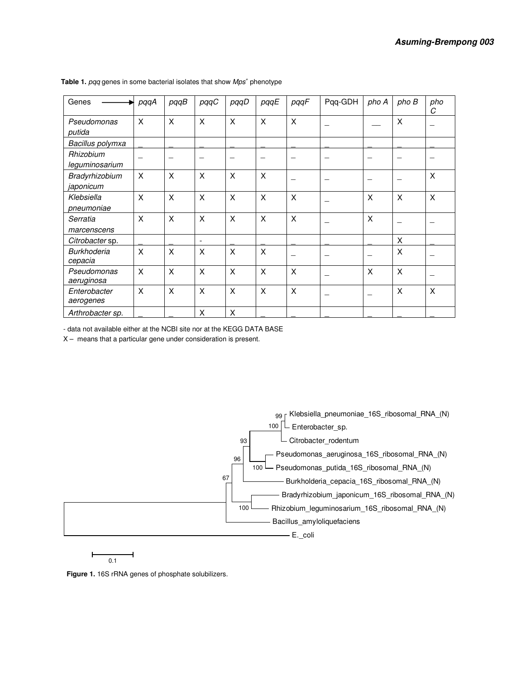| Genes                         | pqqA | pqqB     | pqqC                     | pqqD | pqqE                      | pqqF         | Pqq-GDH | pho A | pho B        | pho<br>C |
|-------------------------------|------|----------|--------------------------|------|---------------------------|--------------|---------|-------|--------------|----------|
| Pseudomonas<br>putida         | X    | $\times$ | X                        | X    | X                         | $\mathsf{X}$ |         |       | $\mathsf{X}$ |          |
| Bacillus polymxa              |      |          |                          |      |                           |              |         |       |              |          |
| Rhizobium<br>leguminosarium   |      |          |                          |      |                           |              |         | —     |              |          |
| Bradyrhizobium<br>japonicum   | X    | $\times$ | X                        | X    | $\boldsymbol{\mathsf{X}}$ |              |         | -     |              | $\times$ |
| Klebsiella<br>pneumoniae      | X    | $\times$ | X                        | X    | X                         | X            |         | X     | X            | X        |
| Serratia<br>marcenscens       | X    | $\times$ | $\times$                 | X    | X                         | X            |         | X     |              |          |
| Citrobacter sp.               |      |          | $\overline{\phantom{a}}$ |      |                           |              |         |       | X            |          |
| <b>Burkhoderia</b><br>cepacia | X    | $\times$ | X                        | X    | $\boldsymbol{\mathsf{X}}$ |              |         |       | X            |          |
| Pseudomonas<br>aeruginosa     | X    | $\times$ | X                        | X    | X                         | X            |         | X     | X            |          |
| Enterobacter<br>aerogenes     | X    | $\times$ | X                        | X    | X                         | X            |         | -     | X            | X        |
| Arthrobacter sp.              |      |          | $\times$                 | X    |                           |              |         |       |              |          |

Table 1. pqq genes in some bacterial isolates that show Mps<sup>+</sup> phenotype

- data not available either at the NCBI site nor at the KEGG DATA BASE

X – means that a particular gene under consideration is present.



 $\overline{0.1}$ 

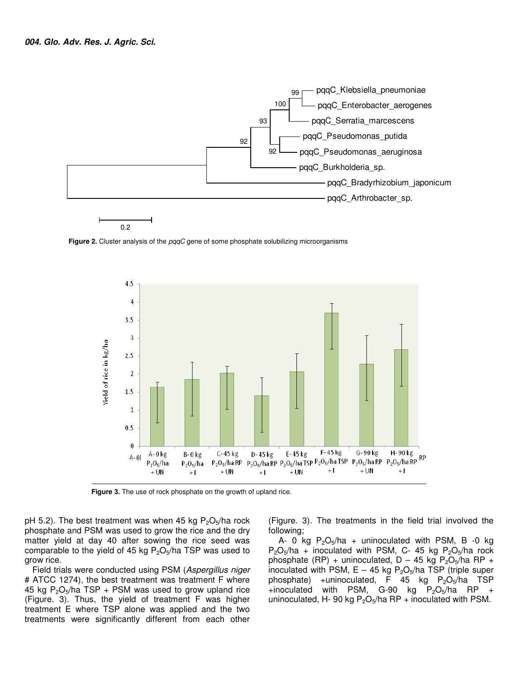

**Figure 2.** Cluster analysis of the *pqqC* gene of some phosphate solubilizing microorganisms



**Figure 3.** The use of rock phosphate on the growth of upland rice.

pH 5.2). The best treatment was when 45 kg  $P_2O_5/ha$  rock phosphate and PSM was used to grow the rice and the dry matter yield at day 40 after sowing the rice seed was comparable to the yield of 45 kg  $P_2O_5/ha$  TSP was used to grow rice.

Field trials were conducted using PSM (Aspergillus niger # ATCC 1274), the best treatment was treatment F where 45 kg  $P_2O_5/ha$  TSP + PSM was used to grow upland rice (Figure. 3). Thus, the yield of treatment F was higher treatment E where TSP alone was applied and the two treatments were significantly different from each other

(Figure. 3). The treatments in the field trial involved the following;

A- 0 kg  $P_2O_5/ha$  + uninoculated with PSM, B -0 kg  $P_2O_5/ha$  + inoculated with PSM, C- 45 kg  $P_2O_5/ha$  rock phosphate (RP) + uninoculated,  $D - 45$  kg  $P_2O_5/ha$  RP + inoculated with PSM,  $E - 45$  kg P<sub>2</sub>O<sub>5</sub>/ha TSP (triple super phosphate) +uninoculated, F 45 kg  $P_2O_5/ha$  TSP +inoculated with PSM, G-90 kg  $P_2O_5/ha$  RP + uninoculated, H- 90 kg  $P_2O_5/ha$  RP + inoculated with PSM.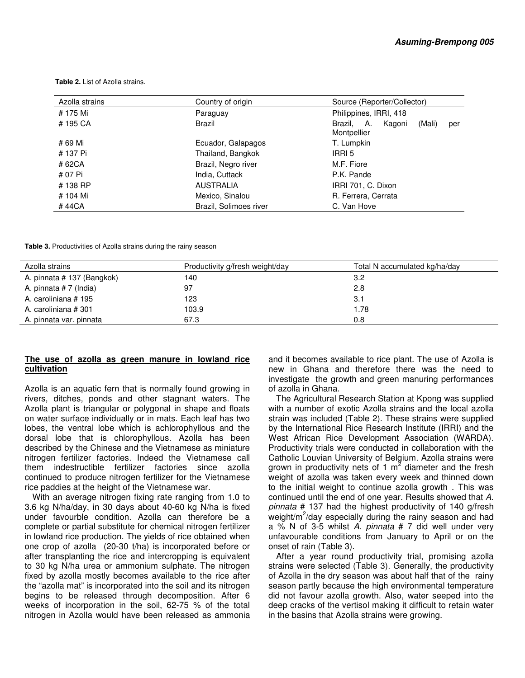| Azolla strains | Country of origin      | Source (Reporter/Collector)                          |  |  |
|----------------|------------------------|------------------------------------------------------|--|--|
| # 175 Mi       | Paraguay               | Philippines, IRRI, 418                               |  |  |
| #195 CA        | Brazil                 | Brazil, A.<br>Kagoni<br>(Mali)<br>per<br>Montpellier |  |  |
| # 69 Mi        | Ecuador, Galapagos     | T. Lumpkin                                           |  |  |
| # 137 Pi       | Thailand, Bangkok      | IRRI 5                                               |  |  |
| #62CA          | Brazil, Negro river    | M.F. Fiore                                           |  |  |
| # 07 Pi        | India, Cuttack         | P.K. Pande                                           |  |  |
| #138 RP        | <b>AUSTRALIA</b>       | IRRI 701, C. Dixon                                   |  |  |
| # 104 Mi       | Mexico, Sinalou        | R. Ferrera, Cerrata                                  |  |  |
| # 44CA         | Brazil, Solimoes river | C. Van Hove                                          |  |  |

 **Table 2.** List of Azolla strains.

**Table 3.** Productivities of Azolla strains during the rainy season

| Azolla strains             | Productivity g/fresh weight/day | Total N accumulated kg/ha/day |
|----------------------------|---------------------------------|-------------------------------|
| A. pinnata # 137 (Bangkok) | 140                             | 3.2                           |
| A. pinnata #7 (India)      | 97                              | 2.8                           |
| A. caroliniana #195        | 123                             | 3.1                           |
| A. caroliniana #301        | 103.9                           | 1.78                          |
| A. pinnata var. pinnata    | 67.3                            | 0.8                           |

#### **The use of azolla as green manure in lowland rice cultivation**

Azolla is an aquatic fern that is normally found growing in rivers, ditches, ponds and other stagnant waters. The Azolla plant is triangular or polygonal in shape and floats on water surface individually or in mats. Each leaf has two lobes, the ventral lobe which is achlorophyllous and the dorsal lobe that is chlorophyllous. Azolla has been described by the Chinese and the Vietnamese as miniature nitrogen fertilizer factories. Indeed the Vietnamese call them indestructible fertilizer factories since azolla continued to produce nitrogen fertilizer for the Vietnamese rice paddies at the height of the Vietnamese war.

With an average nitrogen fixing rate ranging from 1.0 to 3.6 kg N/ha/day, in 30 days about 40-60 kg N/ha is fixed under favourble condition. Azolla can therefore be a complete or partial substitute for chemical nitrogen fertilizer in lowland rice production. The yields of rice obtained when one crop of azolla (20-30 t/ha) is incorporated before or after transplanting the rice and intercropping is equivalent to 30 kg N/ha urea or ammonium sulphate. The nitrogen fixed by azolla mostly becomes available to the rice after the "azolla mat" is incorporated into the soil and its nitrogen begins to be released through decomposition. After 6 weeks of incorporation in the soil, 62-75 % of the total nitrogen in Azolla would have been released as ammonia

and it becomes available to rice plant. The use of Azolla is new in Ghana and therefore there was the need to investigate the growth and green manuring performances of azolla in Ghana.

The Agricultural Research Station at Kpong was supplied with a number of exotic Azolla strains and the local azolla strain was included (Table 2). These strains were supplied by the International Rice Research Institute (IRRI) and the West African Rice Development Association (WARDA). Productivity trials were conducted in collaboration with the Catholic Louvian University of Belgium. Azolla strains were grown in productivity nets of 1  $m^2$  diameter and the fresh weight of azolla was taken every week and thinned down to the initial weight to continue azolla growth . This was continued until the end of one year. Results showed that A. pinnata # 137 had the highest productivity of 140 g/fresh weight/m<sup>2</sup>/day especially during the rainy season and had a  $\frac{9}{6}$  N of 3-5 whilst A. pinnata # 7 did well under very unfavourable conditions from January to April or on the onset of rain (Table 3).

After a year round productivity trial, promising azolla strains were selected (Table 3). Generally, the productivity of Azolla in the dry season was about half that of the rainy season partly because the high environmental temperature did not favour azolla growth. Also, water seeped into the deep cracks of the vertisol making it difficult to retain water in the basins that Azolla strains were growing.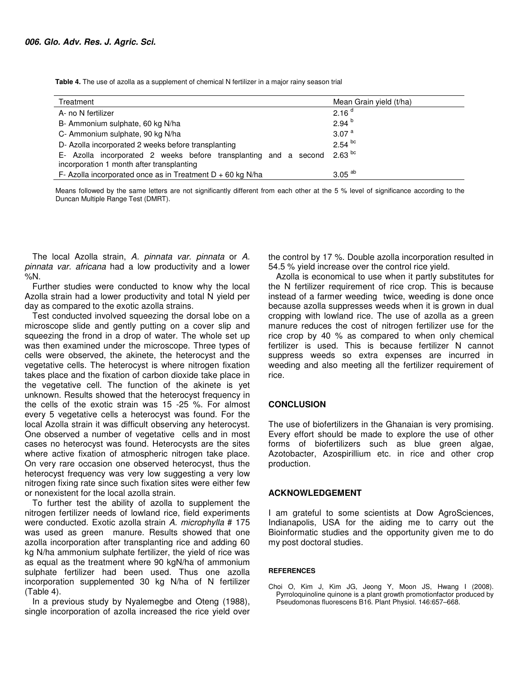**Table 4.** The use of azolla as a supplement of chemical N fertilizer in a major rainy season trial

| Treatment                                                                                                     | Mean Grain yield (t/ha) |
|---------------------------------------------------------------------------------------------------------------|-------------------------|
| A- no N fertilizer                                                                                            | 2.16 <sup>d</sup>       |
| B- Ammonium sulphate, 60 kg N/ha                                                                              | $2.94^{b}$              |
| C- Ammonium sulphate, 90 kg N/ha                                                                              | 3.07 $a$                |
| D- Azolla incorporated 2 weeks before transplanting                                                           | $2.54$ bc               |
| E- Azolla incorporated 2 weeks before transplanting and a second<br>incorporation 1 month after transplanting | $2.63$ bc               |
| F- Azolla incorporated once as in Treatment $D + 60$ kg N/ha                                                  | $3.05$ <sup>ab</sup>    |

Means followed by the same letters are not significantly different from each other at the 5 % level of significance according to the Duncan Multiple Range Test (DMRT).

The local Azolla strain, A. pinnata var. pinnata or A. pinnata var. africana had a low productivity and a lower %N.

Further studies were conducted to know why the local Azolla strain had a lower productivity and total N yield per day as compared to the exotic azolla strains.

Test conducted involved squeezing the dorsal lobe on a microscope slide and gently putting on a cover slip and squeezing the frond in a drop of water. The whole set up was then examined under the microscope. Three types of cells were observed, the akinete, the heterocyst and the vegetative cells. The heterocyst is where nitrogen fixation takes place and the fixation of carbon dioxide take place in the vegetative cell. The function of the akinete is yet unknown. Results showed that the heterocyst frequency in the cells of the exotic strain was 15 -25 %. For almost every 5 vegetative cells a heterocyst was found. For the local Azolla strain it was difficult observing any heterocyst. One observed a number of vegetative cells and in most cases no heterocyst was found. Heterocysts are the sites where active fixation of atmospheric nitrogen take place. On very rare occasion one observed heterocyst, thus the heterocyst frequency was very low suggesting a very low nitrogen fixing rate since such fixation sites were either few or nonexistent for the local azolla strain.

To further test the ability of azolla to supplement the nitrogen fertilizer needs of lowland rice, field experiments were conducted. Exotic azolla strain A. microphylla # 175 was used as green manure. Results showed that one azolla incorporation after transplanting rice and adding 60 kg N/ha ammonium sulphate fertilizer, the yield of rice was as equal as the treatment where 90 kgN/ha of ammonium sulphate fertilizer had been used. Thus one azolla incorporation supplemented 30 kg N/ha of N fertilizer (Table 4).

In a previous study by Nyalemegbe and Oteng (1988), single incorporation of azolla increased the rice yield over the control by 17 %. Double azolla incorporation resulted in 54.5 % yield increase over the control rice yield.

Azolla is economical to use when it partly substitutes for the N fertilizer requirement of rice crop. This is because instead of a farmer weeding twice, weeding is done once because azolla suppresses weeds when it is grown in dual cropping with lowland rice. The use of azolla as a green manure reduces the cost of nitrogen fertilizer use for the rice crop by 40 % as compared to when only chemical fertilizer is used. This is because fertilizer N cannot suppress weeds so extra expenses are incurred in weeding and also meeting all the fertilizer requirement of rice.

#### **CONCLUSION**

The use of biofertilizers in the Ghanaian is very promising. Every effort should be made to explore the use of other forms of biofertilizers such as blue green algae, Azotobacter, Azospirillium etc. in rice and other crop production.

### **ACKNOWLEDGEMENT**

I am grateful to some scientists at Dow AgroSciences, Indianapolis, USA for the aiding me to carry out the Bioinformatic studies and the opportunity given me to do my post doctoral studies.

#### **REFERENCES**

Choi O, Kim J, Kim JG, Jeong Y, Moon JS, Hwang I (2008). Pyrroloquinoline quinone is a plant growth promotionfactor produced by Pseudomonas fluorescens B16. Plant Physiol. 146:657–668.